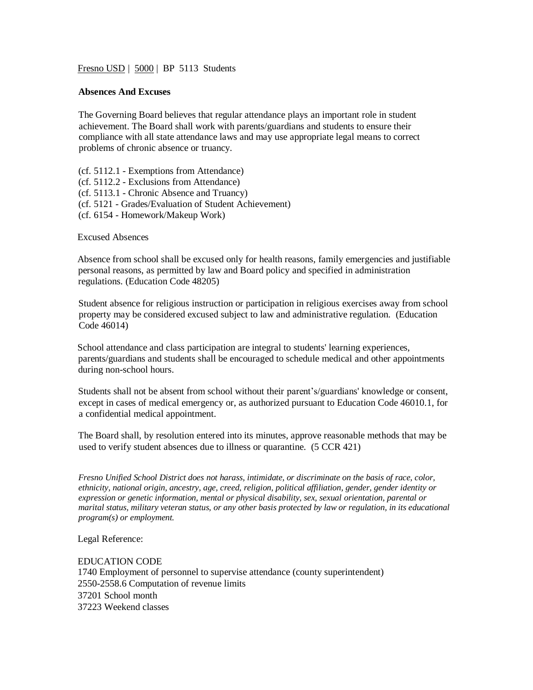Fresno USD | 5000 | BP 5113 Students

## **Absences And Excuses**

The Governing Board believes that regular attendance plays an important role in student achievement. The Board shall work with parents/guardians and students to ensure their compliance with all state attendance laws and may use appropriate legal means to correct problems of chronic absence or truancy.

(cf. 5112.1 - Exemptions from Attendance) (cf. 5112.2 - Exclusions from Attendance) (cf. 5113.1 - Chronic Absence and Truancy) (cf. 5121 - Grades/Evaluation of Student Achievement) (cf. 6154 - Homework/Makeup Work)

Excused Absences

Absence from school shall be excused only for health reasons, family emergencies and justifiable personal reasons, as permitted by law and Board policy and specified in administration regulations. (Education Code 48205)

Student absence for religious instruction or participation in religious exercises away from school property may be considered excused subject to law and administrative regulation. (Education Code 46014)

School attendance and class participation are integral to students' learning experiences, parents/guardians and students shall be encouraged to schedule medical and other appointments during non-school hours.

Students shall not be absent from school without their parent's/guardians' knowledge or consent, except in cases of medical emergency or, as authorized pursuant to Education Code 46010.1, for a confidential medical appointment.

The Board shall, by resolution entered into its minutes, approve reasonable methods that may be used to verify student absences due to illness or quarantine. (5 CCR 421)

*Fresno Unified School District does not harass, intimidate, or discriminate on the basis of race, color, ethnicity, national origin, ancestry, age, creed, religion, political affiliation, gender, gender identity or expression or genetic information, mental or physical disability, sex, sexual orientation, parental or marital status, military veteran status, or any other basis protected by law or regulation, in its educational program(s) or employment.*

Legal Reference:

EDUCATION CODE 1740 Employment of personnel to supervise attendance (county superintendent) 2550-2558.6 Computation of revenue limits 37201 School month 37223 Weekend classes